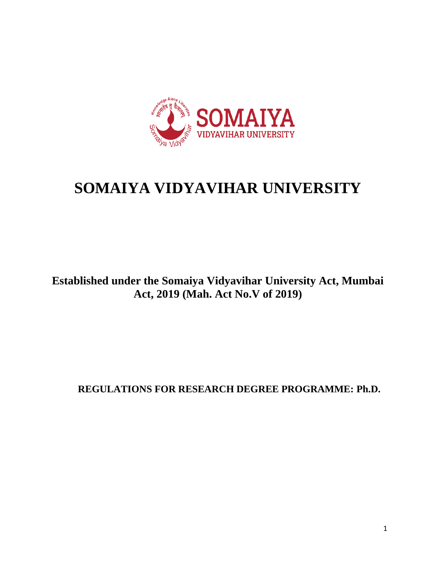

# **SOMAIYA VIDYAVIHAR UNIVERSITY**

## **Established under the Somaiya Vidyavihar University Act, Mumbai Act, 2019 (Mah. Act No.V of 2019)**

**REGULATIONS FOR RESEARCH DEGREE PROGRAMME: Ph.D.**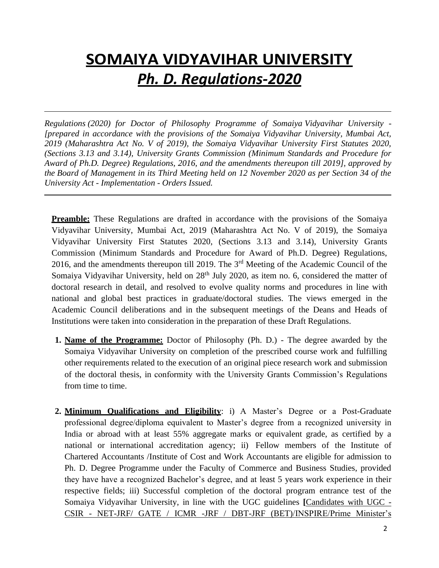# **SOMAIYA VIDYAVIHAR UNIVERSITY** *Ph. D. Regulations-2020*

*Regulations (2020) for Doctor of Philosophy Programme of Somaiya Vidyavihar University - [prepared in accordance with the provisions of the Somaiya Vidyavihar University, Mumbai Act, 2019 (Maharashtra Act No. V of 2019), the Somaiya Vidyavihar University First Statutes 2020, (Sections 3.13 and 3.14), University Grants Commission (Minimum Standards and Procedure for Award of Ph.D. Degree) Regulations, 2016, and the amendments thereupon till 2019], approved by the Board of Management in its Third Meeting held on 12 November 2020 as per Section 34 of the University Act - Implementation - Orders Issued.*

**Preamble:** These Regulations are drafted in accordance with the provisions of the Somaiya Vidyavihar University, Mumbai Act, 2019 (Maharashtra Act No. V of 2019), the Somaiya Vidyavihar University First Statutes 2020, (Sections 3.13 and 3.14), University Grants Commission (Minimum Standards and Procedure for Award of Ph.D. Degree) Regulations, 2016, and the amendments thereupon till 2019. The 3rd Meeting of the Academic Council of the Somaiya Vidyavihar University, held on 28<sup>th</sup> July 2020, as item no. 6, considered the matter of doctoral research in detail, and resolved to evolve quality norms and procedures in line with national and global best practices in graduate/doctoral studies. The views emerged in the Academic Council deliberations and in the subsequent meetings of the Deans and Heads of Institutions were taken into consideration in the preparation of these Draft Regulations.

- **1. Name of the Programme:** Doctor of Philosophy (Ph. D.) The degree awarded by the Somaiya Vidyavihar University on completion of the prescribed course work and fulfilling other requirements related to the execution of an original piece research work and submission of the doctoral thesis, in conformity with the University Grants Commission's Regulations from time to time.
- **2. Minimum Qualifications and Eligibility**: i) A Master's Degree or a Post-Graduate professional degree/diploma equivalent to Master's degree from a recognized university in India or abroad with at least 55% aggregate marks or equivalent grade, as certified by a national or international accreditation agency; ii) Fellow members of the Institute of Chartered Accountants /Institute of Cost and Work Accountants are eligible for admission to Ph. D. Degree Programme under the Faculty of Commerce and Business Studies, provided they have have a recognized Bachelor's degree, and at least 5 years work experience in their respective fields; iii) Successful completion of the doctoral program entrance test of the Somaiya Vidyavihar University, in line with the UGC guidelines **[**Candidates with UGC - CSIR - NET-JRF/ GATE / ICMR -JRF / DBT-JRF (BET)/INSPIRE/Prime Minister's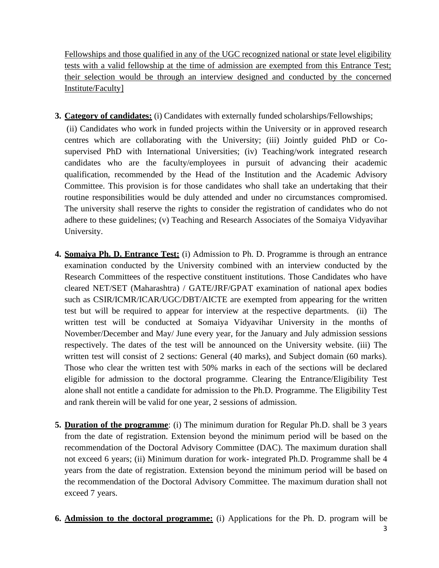Fellowships and those qualified in any of the UGC recognized national or state level eligibility tests with a valid fellowship at the time of admission are exempted from this Entrance Test; their selection would be through an interview designed and conducted by the concerned Institute/Faculty]

**3. Category of candidates:** (i) Candidates with externally funded scholarships/Fellowships;

(ii) Candidates who work in funded projects within the University or in approved research centres which are collaborating with the University; (iii) Jointly guided PhD or Cosupervised PhD with International Universities; (iv) Teaching/work integrated research candidates who are the faculty/employees in pursuit of advancing their academic qualification, recommended by the Head of the Institution and the Academic Advisory Committee. This provision is for those candidates who shall take an undertaking that their routine responsibilities would be duly attended and under no circumstances compromised. The university shall reserve the rights to consider the registration of candidates who do not adhere to these guidelines; (v) Teaching and Research Associates of the Somaiya Vidyavihar University.

- **4. Somaiya Ph. D. Entrance Test:** (i) Admission to Ph. D. Programme is through an entrance examination conducted by the University combined with an interview conducted by the Research Committees of the respective constituent institutions. Those Candidates who have cleared NET/SET (Maharashtra) / GATE/JRF/GPAT examination of national apex bodies such as CSIR/ICMR/ICAR/UGC/DBT/AICTE are exempted from appearing for the written test but will be required to appear for interview at the respective departments. (ii) The written test will be conducted at Somaiya Vidyavihar University in the months of November/December and May/ June every year, for the January and July admission sessions respectively. The dates of the test will be announced on the University website. (iii) The written test will consist of 2 sections: General (40 marks), and Subject domain (60 marks). Those who clear the written test with 50% marks in each of the sections will be declared eligible for admission to the doctoral programme. Clearing the Entrance/Eligibility Test alone shall not entitle a candidate for admission to the Ph.D. Programme. The Eligibility Test and rank therein will be valid for one year, 2 sessions of admission.
- **5. Duration of the programme**: (i) The minimum duration for Regular Ph.D. shall be 3 years from the date of registration. Extension beyond the minimum period will be based on the recommendation of the Doctoral Advisory Committee (DAC). The maximum duration shall not exceed 6 years; (ii) Minimum duration for work- integrated Ph.D. Programme shall be 4 years from the date of registration. Extension beyond the minimum period will be based on the recommendation of the Doctoral Advisory Committee. The maximum duration shall not exceed 7 years.
- **6. Admission to the doctoral programme:** (i) Applications for the Ph. D. program will be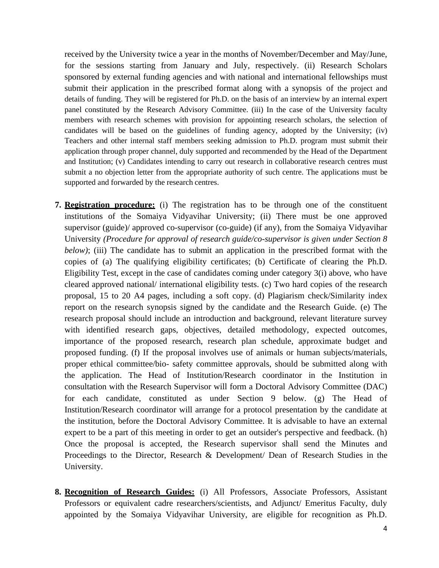received by the University twice a year in the months of November/December and May/June, for the sessions starting from January and July, respectively. (ii) Research Scholars sponsored by external funding agencies and with national and international fellowships must submit their application in the prescribed format along with a synopsis of the project and details of funding. They will be registered for Ph.D. on the basis of an interview by an internal expert panel constituted by the Research Advisory Committee. (iii) In the case of the University faculty members with research schemes with provision for appointing research scholars, the selection of candidates will be based on the guidelines of funding agency, adopted by the University; (iv) Teachers and other internal staff members seeking admission to Ph.D. program must submit their application through proper channel, duly supported and recommended by the Head of the Department and Institution; (v) Candidates intending to carry out research in collaborative research centres must submit a no objection letter from the appropriate authority of such centre. The applications must be supported and forwarded by the research centres.

- **7. Registration procedure:** (i) The registration has to be through one of the constituent institutions of the Somaiya Vidyavihar University; (ii) There must be one approved supervisor (guide)/ approved co-supervisor (co-guide) (if any), from the Somaiya Vidyavihar University *(Procedure for approval of research guide/co-supervisor is given under Section 8 below*); (iii) The candidate has to submit an application in the prescribed format with the copies of (a) The qualifying eligibility certificates; (b) Certificate of clearing the Ph.D. Eligibility Test, except in the case of candidates coming under category 3(i) above, who have cleared approved national/ international eligibility tests. (c) Two hard copies of the research proposal, 15 to 20 A4 pages, including a soft copy. (d) Plagiarism check/Similarity index report on the research synopsis signed by the candidate and the Research Guide. (e) The research proposal should include an introduction and background, relevant literature survey with identified research gaps, objectives, detailed methodology, expected outcomes, importance of the proposed research, research plan schedule, approximate budget and proposed funding. (f) If the proposal involves use of animals or human subjects/materials, proper ethical committee/bio- safety committee approvals, should be submitted along with the application. The Head of Institution/Research coordinator in the Institution in consultation with the Research Supervisor will form a Doctoral Advisory Committee (DAC) for each candidate, constituted as under Section 9 below. (g) The Head of Institution/Research coordinator will arrange for a protocol presentation by the candidate at the institution, before the Doctoral Advisory Committee. It is advisable to have an external expert to be a part of this meeting in order to get an outsider's perspective and feedback. (h) Once the proposal is accepted, the Research supervisor shall send the Minutes and Proceedings to the Director, Research & Development/ Dean of Research Studies in the University.
- **8. Recognition of Research Guides:** (i) All Professors, Associate Professors, Assistant Professors or equivalent cadre researchers/scientists, and Adjunct/ Emeritus Faculty, duly appointed by the Somaiya Vidyavihar University, are eligible for recognition as Ph.D.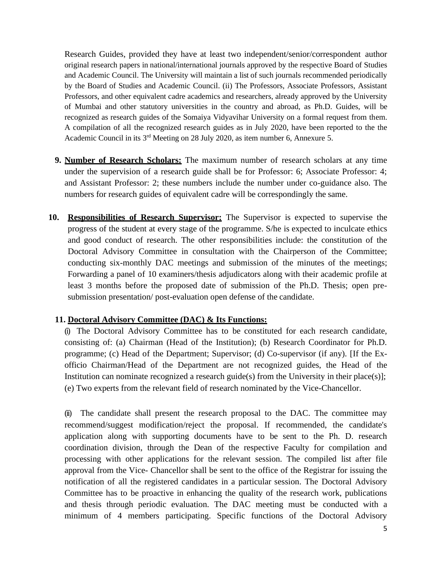Research Guides, provided they have at least two independent/senior/correspondent author original research papers in national/international journals approved by the respective Board of Studies and Academic Council. The University will maintain a list of such journals recommended periodically by the Board of Studies and Academic Council. (ii) The Professors, Associate Professors, Assistant Professors, and other equivalent cadre academics and researchers, already approved by the University of Mumbai and other statutory universities in the country and abroad, as Ph.D. Guides, will be recognized as research guides of the Somaiya Vidyavihar University on a formal request from them. A compilation of all the recognized research guides as in July 2020, have been reported to the the Academic Council in its 3rd Meeting on 28 July 2020, as item number 6, Annexure 5.

- **9. Number of Research Scholars:** The maximum number of research scholars at any time under the supervision of a research guide shall be for Professor: 6; Associate Professor: 4; and Assistant Professor: 2; these numbers include the number under co-guidance also. The numbers for research guides of equivalent cadre will be correspondingly the same.
- **10. Responsibilities of Research Supervisor:** The Supervisor is expected to supervise the progress of the student at every stage of the programme. S/he is expected to inculcate ethics and good conduct of research. The other responsibilities include: the constitution of the Doctoral Advisory Committee in consultation with the Chairperson of the Committee; conducting six-monthly DAC meetings and submission of the minutes of the meetings; Forwarding a panel of 10 examiners/thesis adjudicators along with their academic profile at least 3 months before the proposed date of submission of the Ph.D. Thesis; open presubmission presentation/ post-evaluation open defense of the candidate.

#### **11. Doctoral Advisory Committee (DAC) & Its Functions:**

(i) The Doctoral Advisory Committee has to be constituted for each research candidate, consisting of: (a) Chairman (Head of the Institution); (b) Research Coordinator for Ph.D. programme; (c) Head of the Department; Supervisor; (d) Co-supervisor (if any). [If the Exofficio Chairman/Head of the Department are not recognized guides, the Head of the Institution can nominate recognized a research guide(s) from the University in their place(s)]; (e) Two experts from the relevant field of research nominated by the Vice-Chancellor.

(ii) The candidate shall present the research proposal to the DAC. The committee may recommend/suggest modification/reject the proposal. If recommended, the candidate's application along with supporting documents have to be sent to the Ph. D. research coordination division, through the Dean of the respective Faculty for compilation and processing with other applications for the relevant session. The compiled list after file approval from the Vice- Chancellor shall be sent to the office of the Registrar for issuing the notification of all the registered candidates in a particular session. The Doctoral Advisory Committee has to be proactive in enhancing the quality of the research work, publications and thesis through periodic evaluation. The DAC meeting must be conducted with a minimum of 4 members participating. Specific functions of the Doctoral Advisory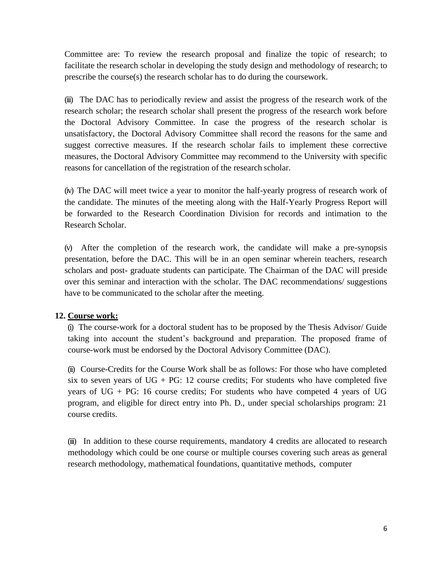Committee are: To review the research proposal and finalize the topic of research; to facilitate the research scholar in developing the study design and methodology of research; to prescribe the course(s) the research scholar has to do during the coursework.

(iii) The DAC has to periodically review and assist the progress of the research work of the research scholar; the research scholar shall present the progress of the research work before the Doctoral Advisory Committee. In case the progress of the research scholar is unsatisfactory, the Doctoral Advisory Committee shall record the reasons for the same and suggest corrective measures. If the research scholar fails to implement these corrective measures, the Doctoral Advisory Committee may recommend to the University with specific reasons for cancellation of the registration of the research scholar.

(iv) The DAC will meet twice a year to monitor the half-yearly progress of research work of the candidate. The minutes of the meeting along with the Half-Yearly Progress Report will be forwarded to the Research Coordination Division for records and intimation to the Research Scholar.

(v) After the completion of the research work, the candidate will make a pre-synopsis presentation, before the DAC. This will be in an open seminar wherein teachers, research scholars and post- graduate students can participate. The Chairman of the DAC will preside over this seminar and interaction with the scholar. The DAC recommendations/ suggestions have to be communicated to the scholar after the meeting.

### **12. Course work:**

(i) The course-work for a doctoral student has to be proposed by the Thesis Advisor/ Guide taking into account the student's background and preparation. The proposed frame of course-work must be endorsed by the Doctoral Advisory Committee (DAC).

(ii) Course-Credits for the Course Work shall be as follows: For those who have completed six to seven years of  $UG + PG: 12$  course credits; For students who have completed five years of UG + PG: 16 course credits; For students who have competed 4 years of UG program, and eligible for direct entry into Ph. D., under special scholarships program: 21 course credits.

(iii) In addition to these course requirements, mandatory 4 credits are allocated to research methodology which could be one course or multiple courses covering such areas as general research methodology, mathematical foundations, quantitative methods, computer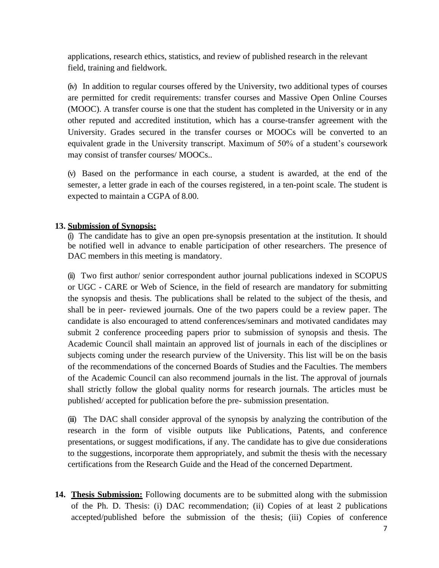applications, research ethics, statistics, and review of published research in the relevant field, training and fieldwork.

(iv) In addition to regular courses offered by the University, two additional types of courses are permitted for credit requirements: transfer courses and Massive Open Online Courses (MOOC). A transfer course is one that the student has completed in the University or in any other reputed and accredited institution, which has a course-transfer agreement with the University. Grades secured in the transfer courses or MOOCs will be converted to an equivalent grade in the University transcript. Maximum of 50% of a student's coursework may consist of transfer courses/ MOOCs..

(v) Based on the performance in each course, a student is awarded, at the end of the semester, a letter grade in each of the courses registered, in a ten-point scale. The student is expected to maintain a CGPA of 8.00.

### **13. Submission of Synopsis:**

(i) The candidate has to give an open pre-synopsis presentation at the institution. It should be notified well in advance to enable participation of other researchers. The presence of DAC members in this meeting is mandatory.

(ii) Two first author/ senior correspondent author journal publications indexed in SCOPUS or UGC - CARE or Web of Science, in the field of research are mandatory for submitting the synopsis and thesis. The publications shall be related to the subject of the thesis, and shall be in peer- reviewed journals. One of the two papers could be a review paper. The candidate is also encouraged to attend conferences/seminars and motivated candidates may submit 2 conference proceeding papers prior to submission of synopsis and thesis. The Academic Council shall maintain an approved list of journals in each of the disciplines or subjects coming under the research purview of the University. This list will be on the basis of the recommendations of the concerned Boards of Studies and the Faculties. The members of the Academic Council can also recommend journals in the list. The approval of journals shall strictly follow the global quality norms for research journals. The articles must be published/ accepted for publication before the pre- submission presentation.

(iii) The DAC shall consider approval of the synopsis by analyzing the contribution of the research in the form of visible outputs like Publications, Patents, and conference presentations, or suggest modifications, if any. The candidate has to give due considerations to the suggestions, incorporate them appropriately, and submit the thesis with the necessary certifications from the Research Guide and the Head of the concerned Department.

**14. Thesis Submission:** Following documents are to be submitted along with the submission of the Ph. D. Thesis: (i) DAC recommendation; (ii) Copies of at least 2 publications accepted/published before the submission of the thesis; (iii) Copies of conference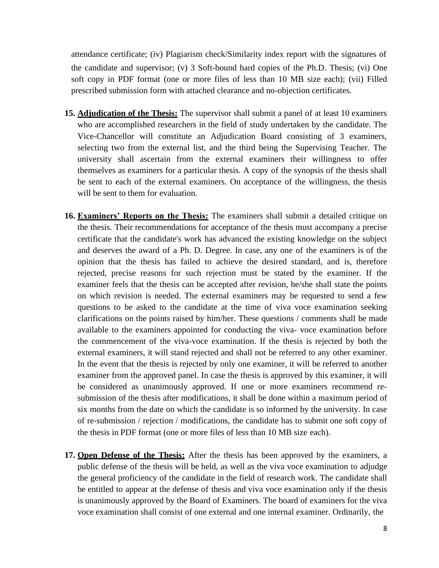attendance certificate; (iv) Plagiarism check/Similarity index report with the signatures of the candidate and supervisor; (v) 3 Soft-bound hard copies of the Ph.D. Thesis; (vi) One soft copy in PDF format (one or more files of less than 10 MB size each); (vii) Filled prescribed submission form with attached clearance and no-objection certificates.

- **15. Adjudication of the Thesis:** The supervisor shall submit a panel of at least 10 examiners who are accomplished researchers in the field of study undertaken by the candidate. The Vice-Chancellor will constitute an Adjudication Board consisting of 3 examiners, selecting two from the external list, and the third being the Supervising Teacher. The university shall ascertain from the external examiners their willingness to offer themselves as examiners for a particular thesis. A copy of the synopsis of the thesis shall be sent to each of the external examiners. On acceptance of the willingness, the thesis will be sent to them for evaluation.
- **16. Examiners' Reports on the Thesis:** The examiners shall submit a detailed critique on the thesis. Their recommendations for acceptance of the thesis must accompany a precise certificate that the candidate's work has advanced the existing knowledge on the subject and deserves the award of a Ph. D. Degree. In case, any one of the examiners is of the opinion that the thesis has failed to achieve the desired standard, and is, therefore rejected, precise reasons for such rejection must be stated by the examiner. If the examiner feels that the thesis can be accepted after revision, he/she shall state the points on which revision is needed. The external examiners may be requested to send a few questions to be asked to the candidate at the time of viva voce examination seeking clarifications on the points raised by him/her. These questions / comments shall be made available to the examiners appointed for conducting the viva- voce examination before the commencement of the viva-voce examination. If the thesis is rejected by both the external examiners, it will stand rejected and shall not be referred to any other examiner. In the event that the thesis is rejected by only one examiner, it will be referred to another examiner from the approved panel. In case the thesis is approved by this examiner, it will be considered as unanimously approved. If one or more examiners recommend resubmission of the thesis after modifications, it shall be done within a maximum period of six months from the date on which the candidate is so informed by the university. In case of re-submission / rejection / modifications, the candidate has to submit one soft copy of the thesis in PDF format (one or more files of less than 10 MB size each).
- **17. Open Defense of the Thesis:** After the thesis has been approved by the examiners, a public defense of the thesis will be held, as well as the viva voce examination to adjudge the general proficiency of the candidate in the field of research work. The candidate shall be entitled to appear at the defense of thesis and viva voce examination only if the thesis is unanimously approved by the Board of Examiners. The board of examiners for the viva voce examination shall consist of one external and one internal examiner. Ordinarily, the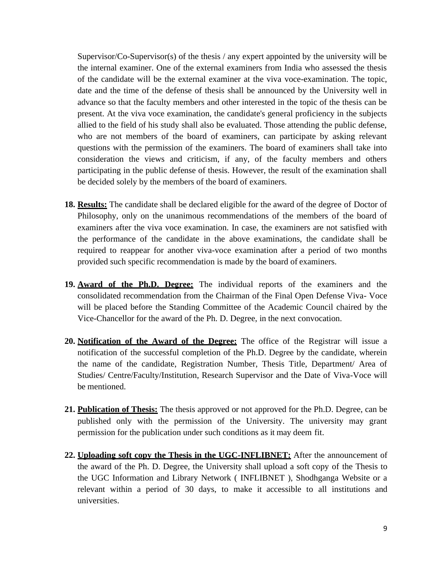Supervisor/ $Co-Supervisor(s)$  of the thesis / any expert appointed by the university will be the internal examiner. One of the external examiners from India who assessed the thesis of the candidate will be the external examiner at the viva voce-examination. The topic, date and the time of the defense of thesis shall be announced by the University well in advance so that the faculty members and other interested in the topic of the thesis can be present. At the viva voce examination, the candidate's general proficiency in the subjects allied to the field of his study shall also be evaluated. Those attending the public defense, who are not members of the board of examiners, can participate by asking relevant questions with the permission of the examiners. The board of examiners shall take into consideration the views and criticism, if any, of the faculty members and others participating in the public defense of thesis. However, the result of the examination shall be decided solely by the members of the board of examiners.

- **18. Results:** The candidate shall be declared eligible for the award of the degree of Doctor of Philosophy, only on the unanimous recommendations of the members of the board of examiners after the viva voce examination. In case, the examiners are not satisfied with the performance of the candidate in the above examinations, the candidate shall be required to reappear for another viva-voce examination after a period of two months provided such specific recommendation is made by the board of examiners.
- **19. Award of the Ph.D. Degree:** The individual reports of the examiners and the consolidated recommendation from the Chairman of the Final Open Defense Viva- Voce will be placed before the Standing Committee of the Academic Council chaired by the Vice-Chancellor for the award of the Ph. D. Degree, in the next convocation.
- **20. Notification of the Award of the Degree:** The office of the Registrar will issue a notification of the successful completion of the Ph.D. Degree by the candidate, wherein the name of the candidate, Registration Number, Thesis Title, Department/ Area of Studies/ Centre/Faculty/Institution, Research Supervisor and the Date of Viva-Voce will be mentioned.
- **21. Publication of Thesis:** The thesis approved or not approved for the Ph.D. Degree, can be published only with the permission of the University. The university may grant permission for the publication under such conditions as it may deem fit.
- **22. Uploading soft copy the Thesis in the UGC-INFLIBNET:** After the announcement of the award of the Ph. D. Degree, the University shall upload a soft copy of the Thesis to the UGC Information and Library Network ( INFLIBNET ), Shodhganga Website or a relevant within a period of 30 days, to make it accessible to all institutions and universities.